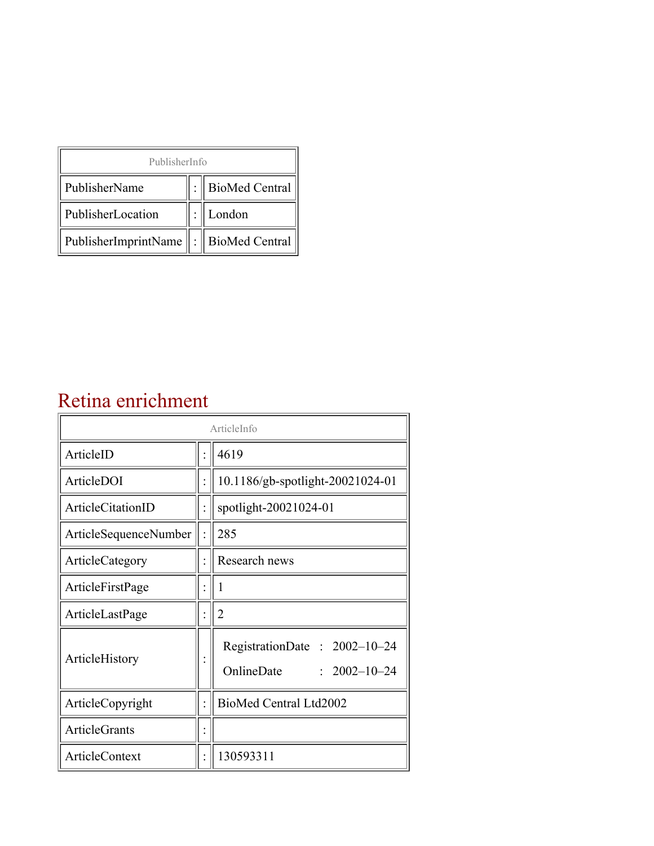| PublisherInfo                                   |  |                    |  |  |
|-------------------------------------------------|--|--------------------|--|--|
| PublisherName                                   |  | :   BioMed Central |  |  |
| PublisherLocation                               |  | London             |  |  |
| PublisherImprintName $\ \cdot\ $ BioMed Central |  |                    |  |  |

## Retina enrichment

| ArticleInfo           |  |                                                                  |
|-----------------------|--|------------------------------------------------------------------|
| ArticleID             |  | 4619                                                             |
| ArticleDOI            |  | 10.1186/gb-spotlight-20021024-01                                 |
| ArticleCitationID     |  | spotlight-20021024-01                                            |
| ArticleSequenceNumber |  | 285                                                              |
| ArticleCategory       |  | Research news                                                    |
| ArticleFirstPage      |  | 1                                                                |
| ArticleLastPage       |  | $\overline{2}$                                                   |
| ArticleHistory        |  | RegistrationDate: 2002-10-24<br>OnlineDate<br>$: 2002 - 10 - 24$ |
| ArticleCopyright      |  | BioMed Central Ltd2002                                           |
| ArticleGrants         |  |                                                                  |
| ArticleContext        |  | 130593311                                                        |